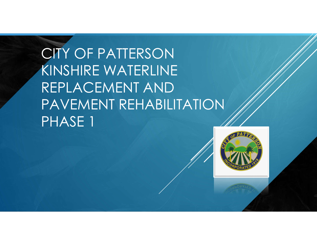CITY OF PATTERSON KINSHIRE WATERLINE REPLACEMENT AND PAVEMENT REHABILITATION PHASE 1

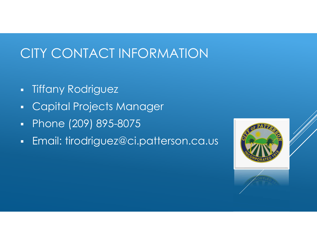## CITY CONTACT INFORMATION

- **Tiffany Rodriguez**
- **Capital Projects Manager**
- Phone (209) 895-8075
- **Email: tirodriguez@ci.patterson.ca.us**

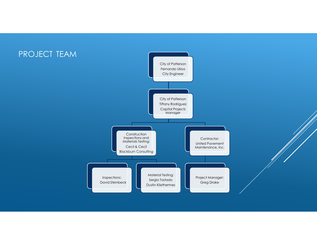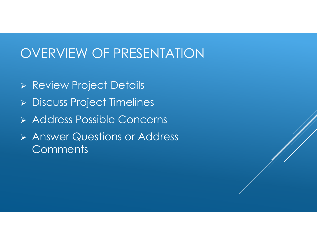## OVERVIEW OF PRESENTATION

- Review Project Details
- Discuss Project Timelines
- Address Possible Concerns
- Answer Questions or Address **Comments**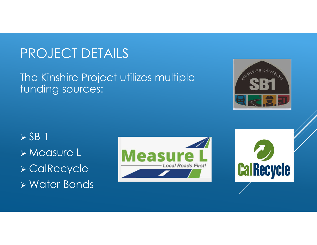# PROJECT DETAILS

#### The Kinshire Project utilizes multiple funding sources:



 $>$  SB 1 Measure L CalRecycle Water Bonds



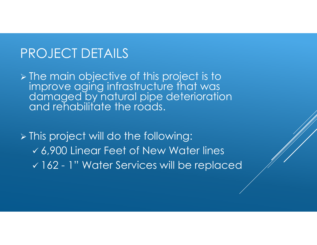#### PROJECT DETAILS

> The main objective of this project is to improve aging infrastructure that was damaged by natural pipe deterioration and rehabilitate the roads.

 This project will do the following: 6,900 Linear Feet of New Water lines 162 - 1" Water Services will be replaced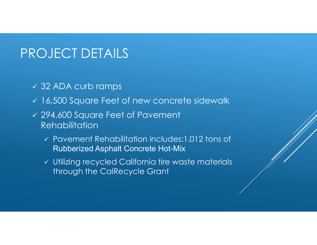## PROJECT DETAILS

- 32 ADA curb ramps
- v 16,500 Square Feet of new concrete sidewalk
- 294,600 Square Feet of Pavement **Rehabilitation** 
	- Pavement Rehabilitation includes:1,012 tons of Rubberized Asphalt Concrete Hot-Mix
	- Utilizing recycled California tire waste materials through the CalRecycle Grant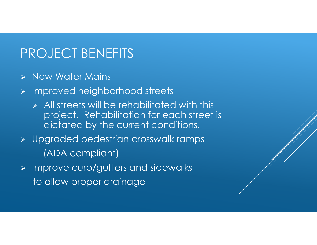## PROJECT BENEFITS

- $\triangleright$  New Water Mains
- > Improved neighborhood streets
	- $\triangleright$  All streets will be rehabilitated with this project. Rehabilitation for each street is dictated by the current conditions.
- Upgraded pedestrian crosswalk ramps (ADA compliant)
- $\triangleright$  Improve curb/gutters and sidewalks to allow proper drainage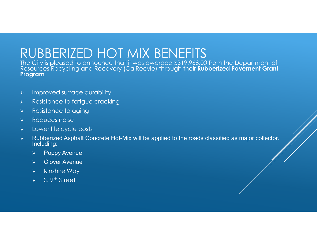## RUBBERIZED HOT MIX BENEFITS

The City is pleased to announce that it was awarded \$319,968.00 from the Department of Resources Recycling and Recovery (CalRecyle) through their **Rubberized Pavement Grant Program**

- $\triangleright$  Improved surface durability
- $\triangleright$  Resistance to fatigue cracking
- > Resistance to aging
- Reduces noise
- $\triangleright$  Lower life cycle costs
- > Rubberized Asphalt Concrete Hot-Mix will be applied to the roads classified as major collector. Including:
	- $\triangleright$  Poppy Avenue
	- Clover Avenue
	- $\triangleright$  Kinshire Way
	- $\triangleright$  S. 9<sup>th</sup> Street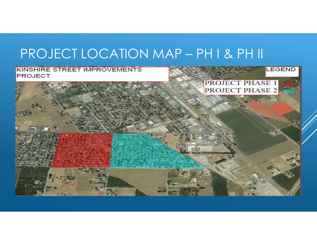# PROJECT LOCATION MAP – PH I & PH II

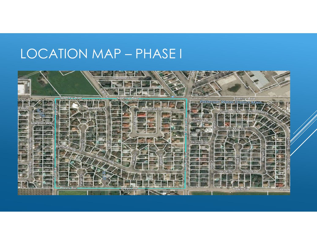## LOCATION MAP – PHASE I

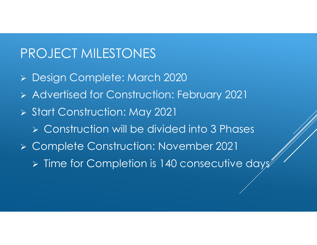## PROJECT MILESTONES

- Design Complete: March 2020
- Advertised for Construction: February 2021
- > Start Construction: May 2021
	- Construction will be divided into 3 Phases
- Complete Construction: November 2021
	- $\triangleright$  Time for Completion is 140 consecutive days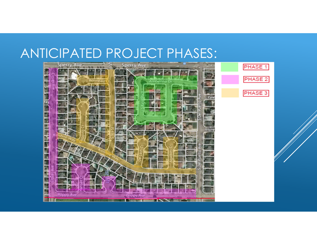#### ANTICIPATED PROJECT PHASES:

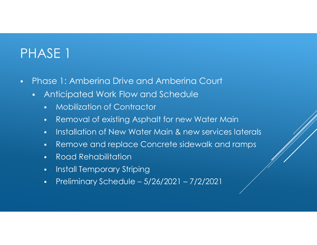# PHASE 1

- Phase 1: Amberina Drive and Amberina Court
	- Anticipated Work Flow and Schedule
		- **Mobilization of Contractor**
		- **Removal of existing Asphalt for new Water Main**
		- **Installation of New Water Main & new services laterals**
		- Remove and replace Concrete sidewalk and ramps
		- Road Rehabilitation
		- Install Temporary Striping
		- **•** Preliminary Schedule  $5/26/2021 7/2/2021$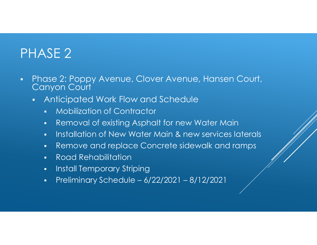# PHASE 2

- **Phase 2: Poppy Avenue, Clover Avenue, Hansen Court,** Canyon Court
	- **Anticipated Work Flow and Schedule** 
		- **Mobilization of Contractor**
		- Removal of existing Asphalt for new Water Main
		- **Installation of New Water Main & new services laterals**
		- Remove and replace Concrete sidewalk and ramps
		- Road Rehabilitation
		- Install Temporary Striping
		- **•** Preliminary Schedule  $6/22/2021 8/12/2021$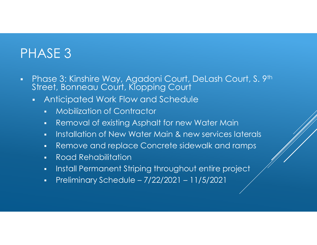## PHASE 3

- Phase 3: Kinshire Way, Agadoni Court, DeLash Court, S. 9th Street, Bonneau Court, Klopping Court
	- Anticipated Work Flow and Schedule
		- **Wobilization of Contractor**
		- Removal of existing Asphalt for new Water Main
		- **Installation of New Water Main & new services laterals**
		- Remove and replace Concrete sidewalk and ramps
		- Road Rehabilitation
		- **Install Permanent Striping throughout entire project**
		- Preliminary Schedule 7/22/2021 11/5/2021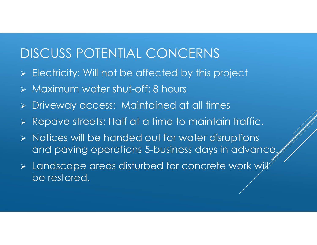## DISCUSS POTENTIAL CONCERNS

- > Electricity: Will not be affected by this project
- Maximum water shut-off: 8 hours
- Driveway access: Maintained at all times
- Repave streets: Half at a time to maintain traffic.
- $\triangleright$  Notices will be handed out for water disruptions and paving operations 5-business days in advance.
- > Landscape areas disturbed for concrete work will be restored.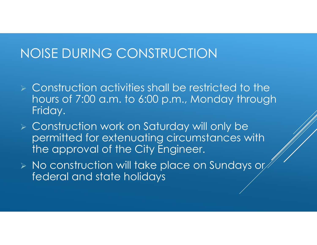### NOISE DURING CONSTRUCTION

- $\triangleright$  Construction activities shall be restricted to the hours of 7:00 a.m. to 6:00 p.m., Monday through Friday.
- Construction work on Saturday will only be permitted for extenuating circumstances with the approval of the City Engineer.
- $\triangleright$  No construction will take place on Sundays or federal and state holidays